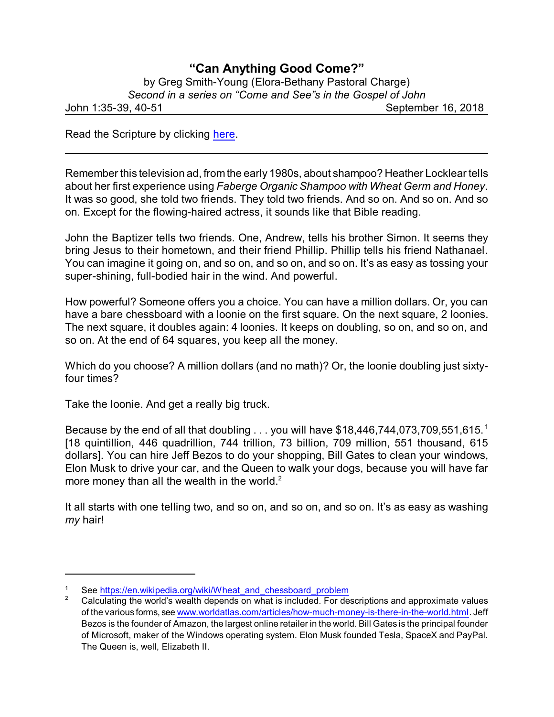## **"Can Anything Good Come?"**

| by Greg Smith-Young (Elora-Bethany Pastoral Charge)         |                    |
|-------------------------------------------------------------|--------------------|
| Second in a series on "Come and See"s in the Gospel of John |                    |
| John 1:35-39, 40-51                                         | September 16, 2018 |
|                                                             |                    |

Read the Scripture by clicking [here](https://www.biblegateway.com/passage/?search=John+1%3A35-39%2C+40-51&version=CEB).

Remember this television ad, fromthe early 1980s, about shampoo? Heather Locklear tells about her first experience using *Faberge Organic Shampoo with Wheat Germ and Honey*. It was so good, she told two friends. They told two friends. And so on. And so on. And so on. Except for the flowing-haired actress, it sounds like that Bible reading.

John the Baptizer tells two friends. One, Andrew, tells his brother Simon. It seems they bring Jesus to their hometown, and their friend Phillip. Phillip tells his friend Nathanael. You can imagine it going on, and so on, and so on, and so on. It's as easy as tossing your super-shining, full-bodied hair in the wind. And powerful.

How powerful? Someone offers you a choice. You can have a million dollars. Or, you can have a bare chessboard with a loonie on the first square. On the next square, 2 loonies. The next square, it doubles again: 4 loonies. It keeps on doubling, so on, and so on, and so on. At the end of 64 squares, you keep all the money.

Which do you choose? A million dollars (and no math)? Or, the loonie doubling just sixtyfour times?

Take the loonie. And get a really big truck.

Because by the end of all that doubling . . . you will have \$18,446,744,073,709,551,615.<sup>1</sup> [18 quintillion, 446 quadrillion, 744 trillion, 73 billion, 709 million, 551 thousand, 615 dollars]. You can hire Jeff Bezos to do your shopping, Bill Gates to clean your windows, Elon Musk to drive your car, and the Queen to walk your dogs, because you will have far more money than all the wealth in the world. $2^2$ 

It all starts with one telling two, and so on, and so on, and so on. It's as easy as washing *my* hair!

See [https://en.wikipedia.org/wiki/Wheat\\_and\\_chessboard\\_problem](https://en.wikipedia.org/wiki/Wheat_and_chessboard_problem)

<sup>2</sup> Calculating the world's wealth depends on what is included. For descriptions and approximate values of the various forms, see [www.worldatlas.com/articles/how-much-money-is-there-in-the-world.html](https://www.worldatlas.com/articles/how-much-money-is-there-in-the-world.html). Jeff Bezos is the founder of Amazon, the largest online retailer in the world. Bill Gates is the principal founder of Microsoft, maker of the Windows operating system. Elon Musk founded Tesla, SpaceX and PayPal. The Queen is, well, Elizabeth II.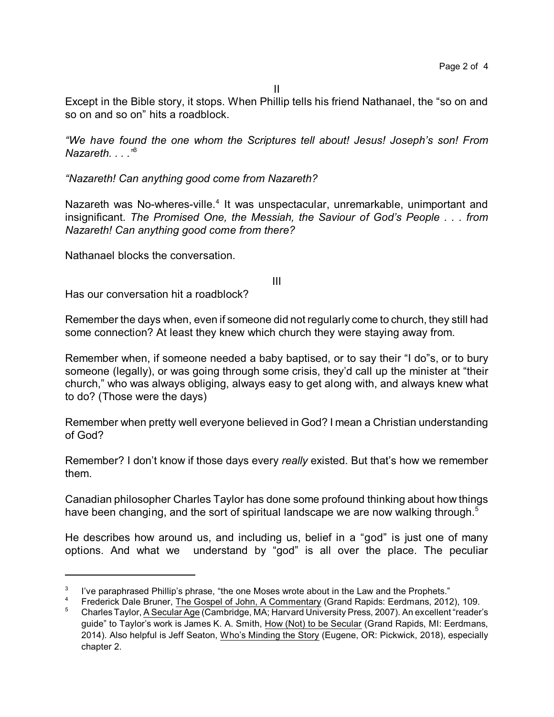Except in the Bible story, it stops. When Phillip tells his friend Nathanael, the "so on and so on and so on" hits a roadblock.

*"We have found the one whom the Scriptures tell about! Jesus! Joseph's son! From Nazareth. . . ."*<sup>3</sup>

*"Nazareth! Can anything good come from Nazareth?*

Nazareth was No-wheres-ville.<sup>4</sup> It was unspectacular, unremarkable, unimportant and insignificant. *The Promised One, the Messiah, the Saviour of God's People . . . from Nazareth! Can anything good come from there?* 

Nathanael blocks the conversation.

III

Has our conversation hit a roadblock?

Remember the days when, even if someone did not regularly come to church, they still had some connection? At least they knew which church they were staying away from.

Remember when, if someone needed a baby baptised, or to say their "I do"s, or to bury someone (legally), or was going through some crisis, they'd call up the minister at "their church," who was always obliging, always easy to get along with, and always knew what to do? (Those were the days)

Remember when pretty well everyone believed in God? I mean a Christian understanding of God?

Remember? I don't know if those days every *really* existed. But that's how we remember them.

Canadian philosopher Charles Taylor has done some profound thinking about how things have been changing, and the sort of spiritual landscape we are now walking through.<sup>5</sup>

He describes how around us, and including us, belief in a "god" is just one of many options. And what we understand by "god" is all over the place. The peculiar

<sup>3</sup> I've paraphrased Phillip's phrase, "the one Moses wrote about in the Law and the Prophets."

<sup>4</sup> Frederick Dale Bruner, The Gospel of John, A Commentary (Grand Rapids: Eerdmans, 2012), 109.

<sup>5</sup> CharlesTaylor, A Secular Age (Cambridge, MA; Harvard University Press, 2007). An excellent "reader's guide" to Taylor's work is James K. A. Smith, How (Not) to be Secular (Grand Rapids, MI: Eerdmans, 2014). Also helpful is Jeff Seaton, Who's Minding the Story (Eugene, OR: Pickwick, 2018), especially chapter 2.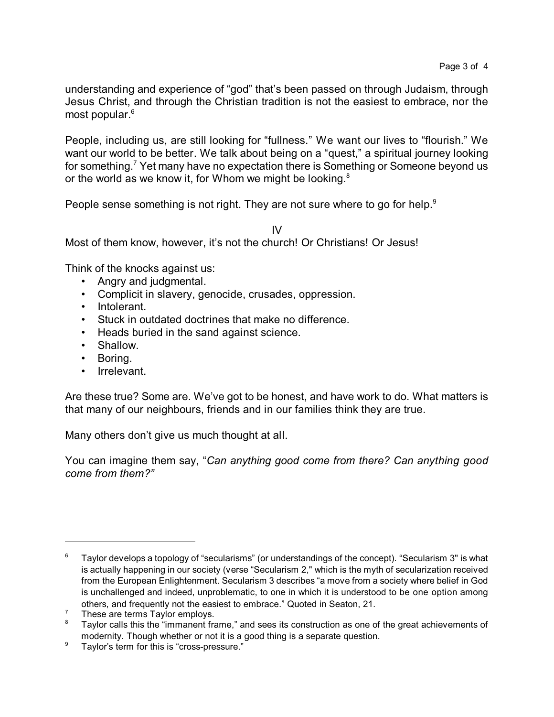understanding and experience of "god" that's been passed on through Judaism, through Jesus Christ, and through the Christian tradition is not the easiest to embrace, nor the most popular. 6

People, including us, are still looking for "fullness." We want our lives to "flourish." We want our world to be better. We talk about being on a "quest," a spiritual journey looking for something.<sup>7</sup> Yet many have no expectation there is Something or Someone beyond us or the world as we know it, for Whom we might be looking. $8$ 

People sense something is not right. They are not sure where to go for help.<sup>9</sup>

IV

Most of them know, however, it's not the church! Or Christians! Or Jesus!

Think of the knocks against us:

- Angry and judgmental.
- Complicit in slavery, genocide, crusades, oppression.
- Intolerant.
- Stuck in outdated doctrines that make no difference.
- Heads buried in the sand against science.
- Shallow.
- Boring.
- Irrelevant.

Are these true? Some are. We've got to be honest, and have work to do. What matters is that many of our neighbours, friends and in our families think they are true.

Many others don't give us much thought at all.

You can imagine them say, "*Can anything good come from there? Can anything good come from them?"*

 $6$  Taylor develops a topology of "secularisms" (or understandings of the concept). "Secularism 3" is what is actually happening in our society (verse "Secularism 2," which is the myth of secularization received from the European Enlightenment. Secularism 3 describes "a move from a society where belief in God is unchallenged and indeed, unproblematic, to one in which it is understood to be one option among others, and frequently not the easiest to embrace." Quoted in Seaton, 21.

 $^7$  These are terms Taylor employs.

Taylor calls this the "immanent frame," and sees its construction as one of the great achievements of modernity. Though whether or not it is a good thing is a separate question.

<sup>&</sup>lt;sup>9</sup> Taylor's term for this is "cross-pressure."